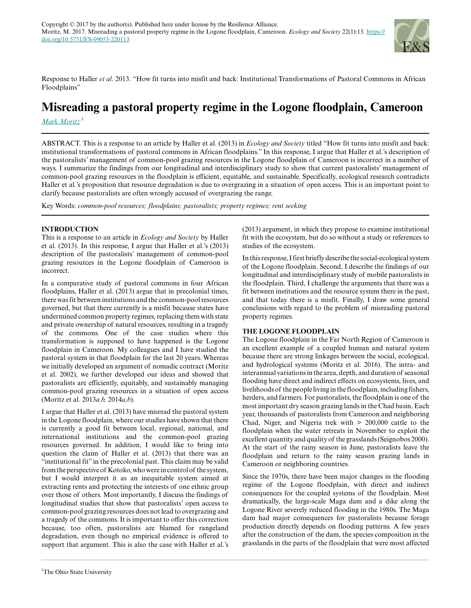

Response to Haller *et al*. 2013. "How fit turns into misfit and back: Institutional Transformations of Pastoral Commons in African Floodplains"

# **Misreading a pastoral property regime in the Logone floodplain, Cameroon**

*[Mark Moritz](mailto:mark.moritz@gmail.com)<sup>1</sup>*

ABSTRACT. This is a response to an article by Haller et al. (2013) in *Ecology and Society* titled "How fit turns into misfit and back: institutional transformations of pastoral commons in African floodplains." In this response, I argue that Haller et al.'s description of the pastoralists' management of common-pool grazing resources in the Logone floodplain of Cameroon is incorrect in a number of ways. I summarize the findings from our longitudinal and interdisciplinary study to show that current pastoralists' management of common-pool grazing resources in the floodplain is efficient, equitable, and sustainable. Specifically, ecological research contradicts Haller et al.'s proposition that resource degradation is due to overgrazing in a situation of open access. This is an important point to clarify because pastoralists are often wrongly accused of overgrazing the range.

Key Words: *common-pool resources; floodplains; pastoralists; property regimes; rent seeking*

# **INTRODUCTION**

This is a response to an article in *Ecology and Society* by Haller et al. (2013). In this response, I argue that Haller et al.'s (2013) description of the pastoralists' management of common-pool grazing resources in the Logone floodplain of Cameroon is incorrect.

In a comparative study of pastoral commons in four African floodplains, Haller et al. (2013) argue that in precolonial times, there was fit between institutions and the common-pool resources governed, but that there currently is a misfit because states have undermined common property regimes, replacing them with state and private ownership of natural resources, resulting in a tragedy of the commons. One of the case studies where this transformation is supposed to have happened is the Logone floodplain in Cameroon. My colleagues and I have studied the pastoral system in that floodplain for the last 20 years. Whereas we initially developed an argument of nomadic contract (Moritz et al. 2002), we further developed our ideas and showed that pastoralists are efficiently, equitably, and sustainably managing common-pool grazing resources in a situation of open access (Moritz et al. 2013*a,b,* 2014*a,b*).

I argue that Haller et al. (2013) have misread the pastoral system in the Logone floodplain, where our studies have shown that there is currently a good fit between local, regional, national, and international institutions and the common-pool grazing resources governed. In addition, I would like to bring into question the claim of Haller et al. (2013) that there was an "institutional fit" in the precolonial past. This claim may be valid from the perspective of Kotoko, who were in control of the system, but I would interpret it as an inequitable system aimed at extracting rents and protecting the interests of one ethnic group over those of others. Most importantly, I discuss the findings of longitudinal studies that show that pastoralists' open access to common-pool grazing resources does not lead to overgrazing and a tragedy of the commons. It is important to offer this correction because, too often, pastoralists are blamed for rangeland degradation, even though no empirical evidence is offered to support that argument. This is also the case with Haller et al.'s

(2013) argument, in which they propose to examine institutional fit with the ecosystem, but do so without a study or references to studies of the ecosystem.

In this response, I first briefly describe the social-ecological system of the Logone floodplain. Second, I describe the findings of our longitudinal and interdisciplinary study of mobile pastoralists in the floodplain. Third, I challenge the arguments that there was a fit between institutions and the resource system there in the past, and that today there is a misfit. Finally, I draw some general conclusions with regard to the problem of misreading pastoral property regimes.

## **THE LOGONE FLOODPLAIN**

The Logone floodplain in the Far North Region of Cameroon is an excellent example of a coupled human and natural system because there are strong linkages between the social, ecological, and hydrological systems (Moritz et al. 2016). The intra- and interannual variations in the area, depth, and duration of seasonal flooding have direct and indirect effects on ecosystems, lives, and livelihoods of the people living in the floodplain, including fishers, herders, and farmers. For pastoralists, the floodplain is one of the most important dry season grazing lands in the Chad basin. Each year, thousands of pastoralists from Cameroon and neighboring Chad, Niger, and Nigeria trek with > 200,000 cattle to the floodplain when the water retreats in November to exploit the excellent quantity and quality of the grasslands (Seignobos 2000). At the start of the rainy season in June, pastoralists leave the floodplain and return to the rainy season grazing lands in Cameroon or neighboring countries.

Since the 1970s, there have been major changes in the flooding regime of the Logone floodplain, with direct and indirect consequences for the coupled systems of the floodplain. Most dramatically, the large-scale Maga dam and a dike along the Logone River severely reduced flooding in the 1980s. The Maga dam had major consequences for pastoralists because forage production directly depends on flooding patterns. A few years after the construction of the dam, the species composition in the grasslands in the parts of the floodplain that were most affected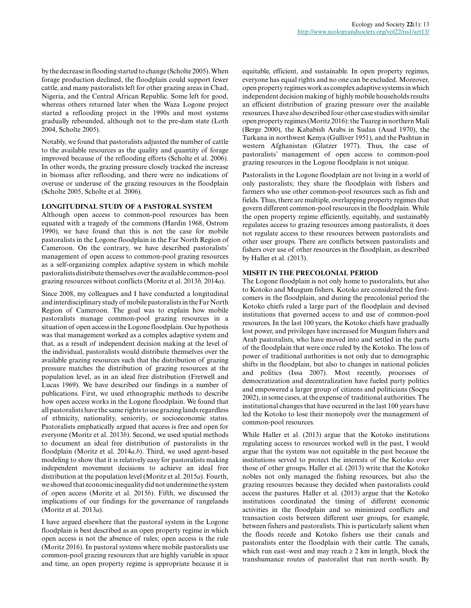by the decrease in flooding started to change (Scholte 2005). When forage production declined, the floodplain could support fewer cattle, and many pastoralists left for other grazing areas in Chad, Nigeria, and the Central African Republic. Some left for good, whereas others returned later when the Waza Logone project started a reflooding project in the 1990s and most systems gradually rebounded, although not to the pre-dam state (Loth 2004, Scholte 2005).

Notably, we found that pastoralists adjusted the number of cattle to the available resources as the quality and quantity of forage improved because of the reflooding efforts (Scholte et al. 2006). In other words, the grazing pressure closely tracked the increase in biomass after reflooding, and there were no indications of overuse or underuse of the grazing resources in the floodplain (Scholte 2005, Scholte et al. 2006).

#### **LONGITUDINAL STUDY OF A PASTORAL SYSTEM**

Although open access to common-pool resources has been equated with a tragedy of the commons (Hardin 1968, Ostrom 1990), we have found that this is not the case for mobile pastoralists in the Logone floodplain in the Far North Region of Cameroon. On the contrary, we have described pastoralists' management of open access to common-pool grazing resources as a self-organizing complex adaptive system in which mobile pastoralists distribute themselves over the available common-pool grazing resources without conflicts (Moritz et al. 2013*b,* 2014*a*).

Since 2008, my colleagues and I have conducted a longitudinal and interdisciplinary study of mobile pastoralists in the Far North Region of Cameroon. The goal was to explain how mobile pastoralists manage common-pool grazing resources in a situation of open access in the Logone floodplain. Our hypothesis was that management worked as a complex adaptive system and that, as a result of independent decision making at the level of the individual, pastoralists would distribute themselves over the available grazing resources such that the distribution of grazing pressure matches the distribution of grazing resources at the population level, as in an ideal free distribution (Fretwell and Lucas 1969). We have described our findings in a number of publications. First, we used ethnographic methods to describe how open access works in the Logone floodplain. We found that all pastoralists have the same rights to use grazing lands regardless of ethnicity, nationality, seniority, or socioeconomic status. Pastoralists emphatically argued that access is free and open for everyone (Moritz et al. 2013*b*). Second, we used spatial methods to document an ideal free distribution of pastoralists in the floodplain (Moritz et al. 2014*a,b*). Third, we used agent-based modeling to show that it is relatively easy for pastoralists making independent movement decisions to achieve an ideal free distribution at the population level (Moritz et al. 2015*a*). Fourth, we showed that economic inequality did not undermine the system of open access (Moritz et al. 2015*b*). Fifth, we discussed the implications of our findings for the governance of rangelands (Moritz et al. 2013*a*).

I have argued elsewhere that the pastoral system in the Logone floodplain is best described as an open property regime in which open access is not the absence of rules; open access is the rule (Moritz 2016). In pastoral systems where mobile pastoralists use common-pool grazing resources that are highly variable in space and time, an open property regime is appropriate because it is

equitable, efficient, and sustainable. In open property regimes, everyone has equal rights and no one can be excluded. Moreover, open property regimes work as complex adaptive systems in which independent decision making of highly mobile households results an efficient distribution of grazing pressure over the available resources. I have also described four other case studies with similar open property regimes (Moritz 2016): the Tuareg in northern Mali (Berge 2000), the Kababish Arabs in Sudan (Asad 1970), the Turkana in northwest Kenya (Gulliver 1951), and the Pashtun in western Afghanistan (Glatzer 1977). Thus, the case of pastoralists' management of open access to common-pool grazing resources in the Logone floodplain is not unique.

Pastoralists in the Logone floodplain are not living in a world of only pastoralists; they share the floodplain with fishers and farmers who use other common-pool resources such as fish and fields. Thus, there are multiple, overlapping property regimes that govern different common-pool resources in the floodplain. While the open property regime efficiently, equitably, and sustainably regulates access to grazing resources among pastoralists, it does not regulate access to these resources between pastoralists and other user groups. There are conflicts between pastoralists and fishers over use of other resources in the floodplain, as described by Haller et al. (2013).

## **MISFIT IN THE PRECOLONIAL PERIOD**

The Logone floodplain is not only home to pastoralists, but also to Kotoko and Musgum fishers. Kotoko are considered the firstcomers in the floodplain, and during the precolonial period the Kotoko chiefs ruled a large part of the floodplain and devised institutions that governed access to and use of common-pool resources. In the last 100 years, the Kotoko chiefs have gradually lost power, and privileges have increased for Musgum fishers and Arab pastoralists, who have moved into and settled in the parts of the floodplain that were once ruled by the Kotoko. The loss of power of traditional authorities is not only due to demographic shifts in the floodplain, but also to changes in national policies and politics (Issa 2007). Most recently, processes of democratization and decentralization have fueled party politics and empowered a larger group of citizens and politicians (Socpa 2002), in some cases, at the expense of traditional authorities. The institutional changes that have occurred in the last 100 years have led the Kotoko to lose their monopoly over the management of common-pool resources.

While Haller et al. (2013) argue that the Kotoko institutions regulating access to resources worked well in the past, I would argue that the system was not equitable in the past because the institutions served to protect the interests of the Kotoko over those of other groups. Haller et al. (2013) write that the Kotoko nobles not only managed the fishing resources, but also the grazing resources because they decided when pastoralists could access the pastures. Haller et al. (2013) argue that the Kotoko institutions coordinated the timing of different economic activities in the floodplain and so minimized conflicts and transaction costs between different user groups, for example, between fishers and pastoralists. This is particularly salient when the floods recede and Kotoko fishers use their canals and pastoralists enter the floodplain with their cattle. The canals, which run east–west and may reach  $\geq 2$  km in length, block the transhumance routes of pastoralist that run north–south. By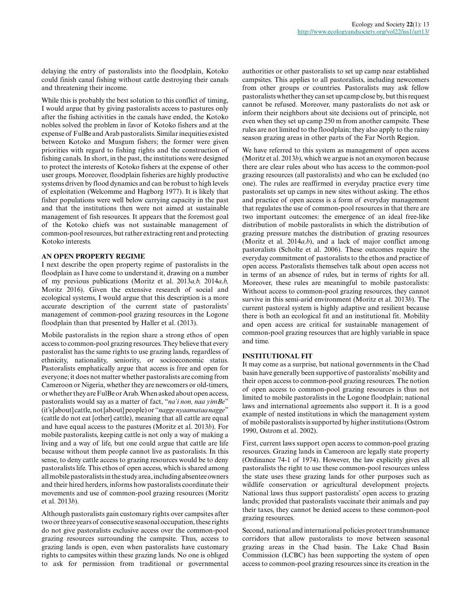delaying the entry of pastoralists into the floodplain, Kotoko could finish canal fishing without cattle destroying their canals and threatening their income.

While this is probably the best solution to this conflict of timing, I would argue that by giving pastoralists access to pastures only after the fishing activities in the canals have ended, the Kotoko nobles solved the problem in favor of Kotoko fishers and at the expense of FulBe and Arab pastoralists. Similar inequities existed between Kotoko and Musgum fishers; the former were given priorities with regard to fishing rights and the construction of fishing canals. In short, in the past, the institutions were designed to protect the interests of Kotoko fishers at the expense of other user groups. Moreover, floodplain fisheries are highly productive systems driven by flood dynamics and can be robust to high levels of exploitation (Welcomme and Hagborg 1977). It is likely that fisher populations were well below carrying capacity in the past and that the institutions then were not aimed at sustainable management of fish resources. It appears that the foremost goal of the Kotoko chiefs was not sustainable management of common-pool resources, but rather extracting rent and protecting Kotoko interests.

#### **AN OPEN PROPERTY REGIME**

I next describe the open property regime of pastoralists in the floodplain as I have come to understand it, drawing on a number of my previous publications (Moritz et al. 2013*a,b,* 2014*a,b,* Moritz 2016). Given the extensive research of social and ecological systems, I would argue that this description is a more accurate description of the current state of pastoralists' management of common-pool grazing resources in the Logone floodplain than that presented by Haller et al. (2013).

Mobile pastoralists in the region share a strong ethos of open access to common-pool grazing resources. They believe that every pastoralist has the same rights to use grazing lands, regardless of ethnicity, nationality, seniority, or socioeconomic status. Pastoralists emphatically argue that access is free and open for everyone; it does not matter whether pastoralists are coming from Cameroon or Nigeria, whether they are newcomers or old-timers, or whether they are FulBe or Arab. When asked about open access, pastoralists would say as a matter of fact, "*na'i non, naa yimBe*" (it's [about] cattle, not [about] people) or "*nagge nyaamataa nagge*" (cattle do not eat [other] cattle), meaning that all cattle are equal and have equal access to the pastures (Moritz et al. 2013*b*). For mobile pastoralists, keeping cattle is not only a way of making a living and a way of life, but one could argue that cattle are life because without them people cannot live as pastoralists. In this sense, to deny cattle access to grazing resources would be to deny pastoralists life. This ethos of open access, which is shared among all mobile pastoralists in the study area, including absentee owners and their hired herders, informs how pastoralists coordinate their movements and use of common-pool grazing resources (Moritz et al. 2013*b*).

Although pastoralists gain customary rights over campsites after two or three years of consecutive seasonal occupation, these rights do not give pastoralists exclusive access over the common-pool grazing resources surrounding the campsite. Thus, access to grazing lands is open, even when pastoralists have customary rights to campsites within these grazing lands. No one is obliged to ask for permission from traditional or governmental

authorities or other pastoralists to set up camp near established campsites. This applies to all pastoralists, including newcomers from other groups or countries. Pastoralists may ask fellow pastoralists whether they can set up camp close by, but this request cannot be refused. Moreover, many pastoralists do not ask or inform their neighbors about site decisions out of principle, not even when they set up camp 250 m from another campsite. These rules are not limited to the floodplain; they also apply to the rainy season grazing areas in other parts of the Far North Region.

We have referred to this system as management of open access (Moritz et al. 2013*b*), which we argue is not an oxymoron because there are clear rules about who has access to the common-pool grazing resources (all pastoralists) and who can be excluded (no one). The rules are reaffirmed in everyday practice every time pastoralists set up camps in new sites without asking. The ethos and practice of open access is a form of everyday management that regulates the use of common-pool resources in that there are two important outcomes: the emergence of an ideal free-like distribution of mobile pastoralists in which the distribution of grazing pressure matches the distribution of grazing resources (Moritz et al. 2014*a,b*), and a lack of major conflict among pastoralists (Scholte et al. 2006). These outcomes require the everyday commitment of pastoralists to the ethos and practice of open access. Pastoralists themselves talk about open access not in terms of an absence of rules, but in terms of rights for all. Moreover, these rules are meaningful to mobile pastoralists: Without access to common-pool grazing resources, they cannot survive in this semi-arid environment (Moritz et al. 2013*b*). The current pastoral system is highly adaptive and resilient because there is both an ecological fit and an institutional fit. Mobility and open access are critical for sustainable management of common-pool grazing resources that are highly variable in space and time.

## **INSTITUTIONAL FIT**

It may come as a surprise, but national governments in the Chad basin have generally been supportive of pastoralists' mobility and their open access to common-pool grazing resources. The notion of open access to common-pool grazing resources is thus not limited to mobile pastoralists in the Logone floodplain; national laws and international agreements also support it. It is a good example of nested institutions in which the management system of mobile pastoralists is supported by higher institutions (Ostrom 1990, Ostrom et al. 2002).

First, current laws support open access to common-pool grazing resources. Grazing lands in Cameroon are legally state property (Ordinance 74-1 of 1974). However, the law explicitly gives all pastoralists the right to use these common-pool resources unless the state uses these grazing lands for other purposes such as wildlife conservation or agricultural development projects. National laws thus support pastoralists' open access to grazing lands; provided that pastoralists vaccinate their animals and pay their taxes, they cannot be denied access to these common-pool grazing resources.

Second, national and international policies protect transhumance corridors that allow pastoralists to move between seasonal grazing areas in the Chad basin. The Lake Chad Basin Commission (LCBC) has been supporting the system of open access to common-pool grazing resources since its creation in the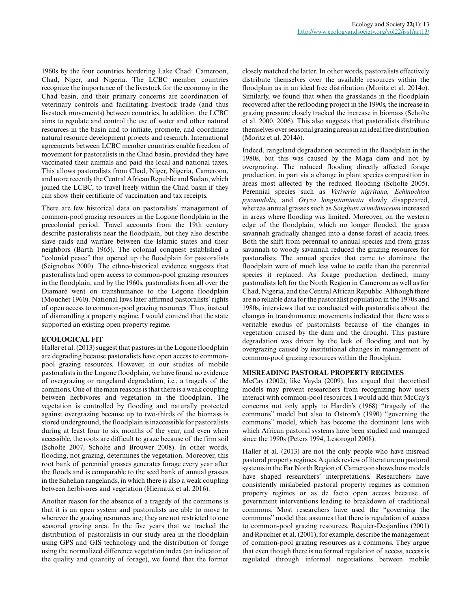1960s by the four countries bordering Lake Chad: Cameroon, Chad, Niger, and Nigeria. The LCBC member countries recognize the importance of the livestock for the economy in the Chad basin, and their primary concerns are coordination of veterinary controls and facilitating livestock trade (and thus livestock movements) between countries. In addition, the LCBC aims to regulate and control the use of water and other natural resources in the basin and to initiate, promote, and coordinate natural resource development projects and research. International agreements between LCBC member countries enable freedom of movement for pastoralists in the Chad basin, provided they have vaccinated their animals and paid the local and national taxes. This allows pastoralists from Chad, Niger, Nigeria, Cameroon, and more recently the Central African Republic and Sudan, which joined the LCBC, to travel freely within the Chad basin if they can show their certificate of vaccination and tax receipts.

There are few historical data on pastoralists' management of common-pool grazing resources in the Logone floodplain in the precolonial period. Travel accounts from the 19th century describe pastoralists near the floodplain, but they also describe slave raids and warfare between the Islamic states and their neighbors (Barth 1965). The colonial conquest established a "colonial peace" that opened up the floodplain for pastoralists (Seignobos 2000). The ethno-historical evidence suggests that pastoralists had open access to common-pool grazing resources in the floodplain, and by the 1960s, pastoralists from all over the Diamaré went on transhumance to the Logone floodplain (Mouchet 1960). National laws later affirmed pastoralists' rights of open access to common-pool grazing resources. Thus, instead of dismantling a property regime, I would contend that the state supported an existing open property regime.

## **ECOLOGICAL FIT**

Haller et al. (2013) suggest that pastures in the Logone floodplain are degrading because pastoralists have open access to commonpool grazing resources. However, in our studies of mobile pastoralists in the Logone floodplain, we have found no evidence of overgrazing or rangeland degradation, i.e., a tragedy of the commons. One of the main reasons is that there is a weak coupling between herbivores and vegetation in the floodplain. The vegetation is controlled by flooding and naturally protected against overgrazing because up to two-thirds of the biomass is stored underground, the floodplain is inaccessible for pastoralists during at least four to six months of the year, and even when accessible, the roots are difficult to graze because of the firm soil (Scholte 2007, Scholte and Brouwer 2008). In other words, flooding, not grazing, determines the vegetation. Moreover, this root bank of perennial grasses generates forage every year after the floods and is comparable to the seed bank of annual grasses in the Sahelian rangelands, in which there is also a weak coupling between herbivores and vegetation (Hiernaux et al. 2016).

Another reason for the absence of a tragedy of the commons is that it is an open system and pastoralists are able to move to wherever the grazing resources are; they are not restricted to one seasonal grazing area. In the five years that we tracked the distribution of pastoralists in our study area in the floodplain using GPS and GIS technology and the distribution of forage using the normalized difference vegetation index (an indicator of the quality and quantity of forage), we found that the former

closely matched the latter. In other words, pastoralists effectively distribute themselves over the available resources within the floodplain as in an ideal free distribution (Moritz et al. 2014*a*). Similarly, we found that when the grasslands in the floodplain recovered after the reflooding project in the 1990s, the increase in grazing pressure closely tracked the increase in biomass (Scholte et al. 2000, 2006). This also suggests that pastoralists distribute themselves over seasonal grazing areas in an ideal free distribution (Moritz et al. 2014*b*).

Indeed, rangeland degradation occurred in the floodplain in the 1980s, but this was caused by the Maga dam and not by overgrazing. The reduced flooding directly affected forage production, in part via a change in plant species composition in areas most affected by the reduced flooding (Scholte 2005). Perennial species such as *Vetiveria nigritana, Echinochloa pyramidalis,* and *Oryza longistaminata* slowly disappeared, whereas annual grasses such as *Sorghum arundinaceum* increased in areas where flooding was limited. Moreover, on the western edge of the floodplain, which no longer flooded, the grass savannah gradually changed into a dense forest of acacia trees. Both the shift from perennial to annual species and from grass savannah to woody savannah reduced the grazing resources for pastoralists. The annual species that came to dominate the floodplain were of much less value to cattle than the perennial species it replaced. As forage production declined, many pastoralists left for the North Region in Cameroon as well as for Chad, Nigeria, and the Central African Republic. Although there are no reliable data for the pastoralist population in the 1970s and 1980s, interviews that we conducted with pastoralists about the changes in transhumance movements indicated that there was a veritable exodus of pastoralists because of the changes in vegetation caused by the dam and the drought. This pasture degradation was driven by the lack of flooding and not by overgrazing caused by institutional changes in management of common-pool grazing resources within the floodplain.

## **MISREADING PASTORAL PROPERTY REGIMES**

McCay (2002), like Vayda (2009), has argued that theoretical models may prevent researchers from recognizing how users interact with common-pool resources. I would add that McCay's concerns not only apply to Hardin's (1968) "tragedy of the commons" model but also to Ostrom's (1990) "governing the commons" model, which has become the dominant lens with which African pastoral systems have been studied and managed since the 1990s (Peters 1994, Lesorogol 2008).

Haller et al. (2013) are not the only people who have misread pastoral property regimes. A quick review of literature on pastoral systems in the Far North Region of Cameroon shows how models have shaped researchers' interpretations. Researchers have consistently mislabeled pastoral property regimes as common property regimes or as de facto open access because of government interventions leading to breakdown of traditional commons. Most researchers have used the "governing the commons" model that assumes that there is regulation of access to common-pool grazing resources. Requier-Desjardins (2001) and Rouchier et al. (2001), for example, describe the management of common-pool grazing resources as a commons. They argue that even though there is no formal regulation of access, access is regulated through informal negotiations between mobile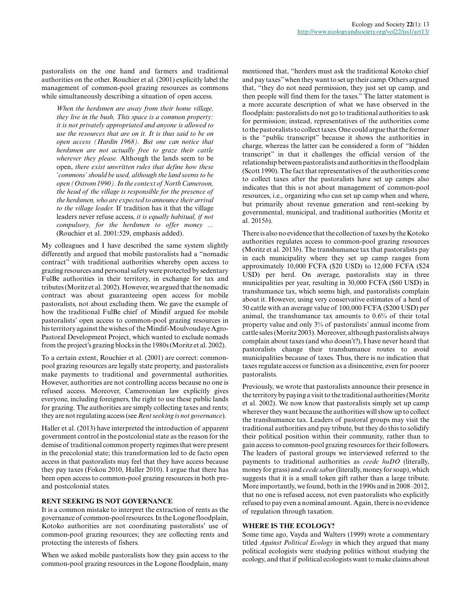pastoralists on the one hand and farmers and traditional authorities on the other. Rouchier et al. (2001) explicitly label the management of common-pool grazing resources as commons while simultaneously describing a situation of open access.

*When the herdsmen are away from their home village, they live in the bush. This space is a common property: it is not privately appropriated and anyone is allowed to use the resources that are on it. It is thus said to be on open access (Hardin 1968). But one can notice that herdsmen are not actually free to graze their cattle wherever they please.* Although the lands seem to be open, *there exist unwritten rules that define how these 'commons' should be used, although the land seems to be open (Ostrom 1990). In the context of North Cameroon, the head of the village is responsible for the presence of the herdsmen, who are expected to announce their arrival to the village leader.* If tradition has it that the village leaders never refuse access, *it is equally habitual, if not compulsory, for the herdsmen to offer money ...* (Rouchier et al. 2001:529, emphasis added).

My colleagues and I have described the same system slightly differently and argued that mobile pastoralists had a "nomadic contract" with traditional authorities whereby open access to grazing resources and personal safety were protected by sedentary FulBe authorities in their territory, in exchange for tax and tributes (Moritz et al. 2002). However, we argued that the nomadic contract was about guaranteeing open access for mobile pastoralists, not about excluding them. We gave the example of how the traditional FulBe chief of Mindif argued for mobile pastoralists' open access to common-pool grazing resources in his territory against the wishes of the Mindif-Moulvoudaye Agro-Pastoral Development Project, which wanted to exclude nomads from the project's grazing blocks in the 1980s (Moritz et al. 2002).

To a certain extent, Rouchier et al. (2001) are correct: commonpool grazing resources are legally state property, and pastoralists make payments to traditional and governmental authorities. However, authorities are not controlling access because no one is refused access. Moreover, Cameroonian law explicitly gives everyone, including foreigners, the right to use these public lands for grazing. The authorities are simply collecting taxes and rents; they are not regulating access (see *Rent seeking is not governance*).

Haller et al. (2013) have interpreted the introduction of apparent government control in the postcolonial state as the reason for the demise of traditional common property regimes that were present in the precolonial state; this transformation led to de facto open access in that pastoralists may feel that they have access because they pay taxes (Fokou 2010, Haller 2010). I argue that there has been open access to common-pool grazing resources in both preand postcolonial states.

## **RENT SEEKING IS NOT GOVERNANCE**

It is a common mistake to interpret the extraction of rents as the governance of common-pool resources. In the Logone floodplain, Kotoko authorities are not coordinating pastoralists' use of common-pool grazing resources; they are collecting rents and protecting the interests of fishers.

When we asked mobile pastoralists how they gain access to the common-pool grazing resources in the Logone floodplain, many mentioned that, "herders must ask the traditional Kotoko chief and pay taxes" when they want to set up their camp. Others argued that, "they do not need permission, they just set up camp, and then people will find them for the taxes." The latter statement is a more accurate description of what we have observed in the floodplain: pastoralists do not go to traditional authorities to ask for permission; instead, representatives of the authorities come to the pastoralists to collect taxes. One could argue that the former is the "public transcript" because it shows the authorities in charge, whereas the latter can be considered a form of "hidden transcript" in that it challenges the official version of the relationship between pastoralists and authorities in the floodplain (Scott 1990). The fact that representatives of the authorities come to collect taxes after the pastoralists have set up camps also indicates that this is not about management of common-pool resources, i.e., organizing who can set up camp when and where, but primarily about revenue generation and rent-seeking by governmental, municipal, and traditional authorities (Moritz et al. 2015*b*).

There is also no evidence that the collection of taxes by the Kotoko authorities regulates access to common-pool grazing resources (Moritz et al. 2013*b*). The transhumance tax that pastoralists pay in each municipality where they set up camp ranges from approximately 10,000 FCFA (\$20 USD) to 12,000 FCFA (\$24 USD) per herd. On average, pastoralists stay in three municipalities per year, resulting in 30,000 FCFA (\$60 USD) in transhumance tax, which seems high, and pastoralists complain about it. However, using very conservative estimates of a herd of 50 cattle with an average value of 100,000 FCFA (\$200 USD) per animal, the transhumance tax amounts to 0.6% of their total property value and only 3% of pastoralists' annual income from cattle sales (Moritz 2003). Moreover, although pastoralists always complain about taxes (and who doesn't?), I have never heard that pastoralists change their transhumance routes to avoid municipalities because of taxes. Thus, there is no indication that taxes regulate access or function as a disincentive, even for poorer pastoralists.

Previously, we wrote that pastoralists announce their presence in the territory by paying a visit to the traditional authorities (Moritz et al. 2002). We now know that pastoralists simply set up camp wherever they want because the authorities will show up to collect the transhumance tax. Leaders of pastoral groups may visit the traditional authorities and pay tribute, but they do this to solidify their political position within their community, rather than to gain access to common-pool grazing resources for their followers. The leaders of pastoral groups we interviewed referred to the payments to traditional authorities as *ceede huDO* (literally, money for grass) and *ceede sabur* (literally, money for soap), which suggests that it is a small token gift rather than a large tribute. More importantly, we found, both in the 1990s and in 2008–2012, that no one is refused access, not even pastoralists who explicitly refused to pay even a nominal amount. Again, there is no evidence of regulation through taxation.

#### **WHERE IS THE ECOLOGY?**

Some time ago, Vayda and Walters (1999) wrote a commentary titled *Against Political Ecology* in which they argued that many political ecologists were studying politics without studying the ecology, and that if political ecologists want to make claims about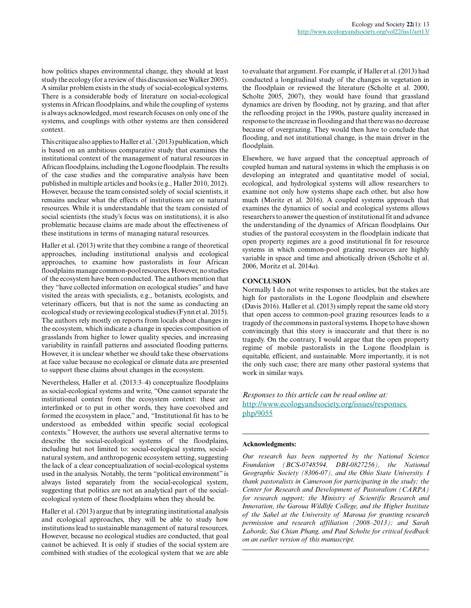how politics shapes environmental change, they should at least study the ecology (for a review of this discussion see Walker 2005). A similar problem exists in the study of social-ecological systems. There is a considerable body of literature on social-ecological systems in African floodplains, and while the coupling of systems is always acknowledged, most research focuses on only one of the systems, and couplings with other systems are then considered context.

This critique also applies to Haller et al.' (2013) publication, which is based on an ambitious comparative study that examines the institutional context of the management of natural resources in African floodplains, including the Logone floodplain. The results of the case studies and the comparative analysis have been published in multiple articles and books (e.g., Haller 2010, 2012). However, because the team consisted solely of social scientists, it remains unclear what the effects of institutions are on natural resources. While it is understandable that the team consisted of social scientists (the study's focus was on institutions), it is also problematic because claims are made about the effectiveness of these institutions in terms of managing natural resources.

Haller et al. (2013) write that they combine a range of theoretical approaches, including institutional analysis and ecological approaches, to examine how pastoralists in four African floodplains manage common-pool resources. However, no studies of the ecosystem have been conducted. The authors mention that they "have collected information on ecological studies" and have visited the areas with specialists, e.g., botanists, ecologists, and veterinary officers, but that is not the same as conducting an ecological study or reviewing ecological studies (Fynn et al. 2015). The authors rely mostly on reports from locals about changes in the ecosystem, which indicate a change in species composition of grasslands from higher to lower quality species, and increasing variability in rainfall patterns and associated flooding patterns. However, it is unclear whether we should take these observations at face value because no ecological or climate data are presented to support these claims about changes in the ecosystem.

Nevertheless, Haller et al. (2013:3–4) conceptualize floodplains as social-ecological systems and write, "One cannot separate the institutional context from the ecosystem context: these are interlinked or to put in other words, they have coevolved and formed the ecosystem in place," and, "Institutional fit has to be understood as embedded within specific social ecological contexts." However, the authors use several alternative terms to describe the social-ecological systems of the floodplains, including but not limited to: social-ecological systems, socialnatural system, and anthropogenic ecosystem setting, suggesting the lack of a clear conceptualization of social-ecological systems used in the analysis. Notably, the term "political environment" is always listed separately from the social-ecological system, suggesting that politics are not an analytical part of the socialecological system of these floodplains when they should be.

Haller et al. (2013) argue that by integrating institutional analysis and ecological approaches, they will be able to study how institutions lead to sustainable management of natural resources. However, because no ecological studies are conducted, that goal cannot be achieved. It is only if studies of the social system are combined with studies of the ecological system that we are able

to evaluate that argument. For example, if Haller et al. (2013) had conducted a longitudinal study of the changes in vegetation in the floodplain or reviewed the literature (Scholte et al. 2000, Scholte 2005, 2007), they would have found that grassland dynamics are driven by flooding, not by grazing, and that after the reflooding project in the 1990s, pasture quality increased in response to the increase in flooding and that there was no decrease because of overgrazing. They would then have to conclude that flooding, and not institutional change, is the main driver in the floodplain.

Elsewhere, we have argued that the conceptual approach of coupled human and natural systems in which the emphasis is on developing an integrated and quantitative model of social, ecological, and hydrological systems will allow researchers to examine not only how systems shape each other, but also how much (Moritz et al. 2016). A coupled systems approach that examines the dynamics of social and ecological systems allows researchers to answer the question of institutional fit and advance the understanding of the dynamics of African floodplains. Our studies of the pastoral ecosystem in the floodplain indicate that open property regimes are a good institutional fit for resource systems in which common-pool grazing resources are highly variable in space and time and abiotically driven (Scholte et al. 2006, Moritz et al. 2014*a*).

#### **CONCLUSION**

Normally I do not write responses to articles, but the stakes are high for pastoralists in the Logone floodplain and elsewhere (Davis 2016). Haller et al. (2013) simply repeat the same old story that open access to common-pool grazing resources leads to a tragedy of the commons in pastoral systems. I hope to have shown convincingly that this story is inaccurate and that there is no tragedy. On the contrary, I would argue that the open property regime of mobile pastoralists in the Logone floodplain is equitable, efficient, and sustainable. More importantly, it is not the only such case; there are many other pastoral systems that work in similar ways.

*Responses to this article can be read online at:* [http://www.ecologyandsociety.org/issues/responses.](http://www.ecologyandsociety.org/issues/responses.php/9055) [php/9055](http://www.ecologyandsociety.org/issues/responses.php/9055)

#### **Acknowledgments:**

*Our research has been supported by the National Science Foundation (BCS-0748594, DBI-0827256), the National Geographic Society (8306-07), and the Ohio State University. I thank pastoralists in Cameroon for participating in the study; the Center for Research and Development of Pastoralism (CARPA) for research support; the Ministry of Scientific Research and Innovation, the Garoua Wildlife College, and the Higher Institute of the Sahel at the University of Maroua for granting research permission and research affiliation (2008–2013); and Sarah Laborde, Sui Chian Phang, and Paul Scholte for critical feedback on an earlier version of this manuscript.*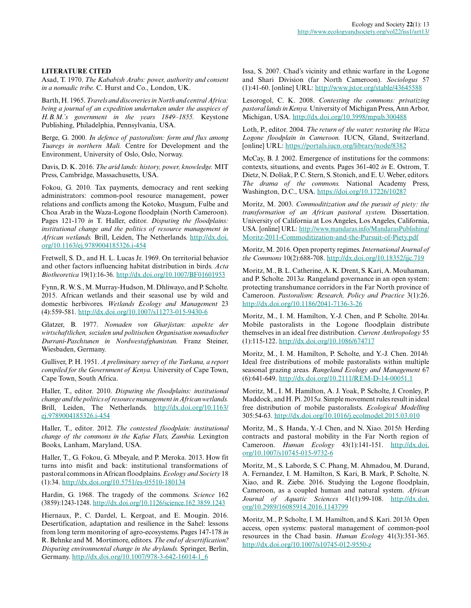#### **LITERATURE CITED**

Asad, T. 1970. *The Kababish Arabs: power, authority and consent in a nomadic tribe.* C. Hurst and Co., London, UK.

Barth, H. 1965. *Travels and discoveries in North and central Africa: being a journal of an expedition undertaken under the auspices of H.B.M.'s government in the years 1849–1855.* Keystone Publishing, Philadelphia, Pennsylvania, USA.

Berge, G. 2000. *In defence of pastoralism: form and flux among Tuaregs in northern Mali.* Centre for Development and the Environment, University of Oslo, Oslo, Norway.

Davis, D. K. 2016. *The arid lands: history, power, knowledge.* MIT Press, Cambridge, Massachusetts, USA.

Fokou, G. 2010. Tax payments, democracy and rent seeking administrators: common-pool resource management, power relations and conflicts among the Kotoko, Musgum, Fulbe and Choa Arab in the Waza-Logone floodplain (North Cameroon). Pages 121-170 *in* T. Haller, editor. *Disputing the floodplains: institutional change and the politics of resource management in African wetlands.* Brill, Leiden, The Netherlands. [http://dx.doi.](http://dx.doi.org/10.1163/ej.9789004185326.i-454) [org/10.1163/ej.9789004185326.i-454](http://dx.doi.org/10.1163/ej.9789004185326.i-454) 

Fretwell, S. D., and H. L. Lucas Jr. 1969. On territorial behavior and other factors influencing habitat distribution in birds. *Acta Biotheoretica* 19(1):16-36.<http://dx.doi.org/10.1007/BF01601953>

Fynn, R. W. S., M. Murray-Hudson, M. Dhliwayo, and P. Scholte. 2015. African wetlands and their seasonal use by wild and domestic herbivores. *Wetlands Ecology and Management* 23 (4):559-581. <http://dx.doi.org/10.1007/s11273-015-9430-6>

Glatzer, B. 1977. *Nomaden von Gharjistan: aspekte der wirtschaftlichen, sozialen und politischen Organisation nomadischer Durrani-Paschtunen in Nordwestafghanistan.* Franz Steiner, Wiesbaden, Germany.

Gulliver, P. H. 1951. *A preliminary survey of the Turkana, a report compiled for the Government of Kenya.* University of Cape Town, Cape Town, South Africa.

Haller, T., editor. 2010. *Disputing the floodplains: institutional change and the politics of resource management in African wetlands.* Brill, Leiden, The Netherlands. [http://dx.doi.org/10.1163/](http://dx.doi.org/10.1163/ej.9789004185326.i-454) [ej.9789004185326.i-454](http://dx.doi.org/10.1163/ej.9789004185326.i-454) 

Haller, T., editor. 2012. *The contested floodplain: institutional change of the commons in the Kafue Flats, Zambia.* Lexington Books, Lanham, Maryland, USA.

Haller, T., G. Fokou, G. Mbeyale, and P. Meroka. 2013. How fit turns into misfit and back: institutional transformations of pastoral commons in African floodplains. *Ecology and Society* 18 (1):34. <http://dx.doi.org/10.5751/es-05510-180134>

Hardin, G. 1968. The tragedy of the commons. *Science* 162 (3859):1243-1248. <http://dx.doi.org/10.1126/science.162.3859.1243>

Hiernaux, P., C. Dardel, L. Kergoat, and E. Mougin. 2016. Desertification, adaptation and resilience in the Sahel: lessons from long term monitoring of agro-ecosystems. Pages 147-178 *in* R. Behnke and M. Mortimore, editors. *The end of desertification? Disputing environmental change in the drylands.* Springer, Berlin, Germany. [http://dx.doi.org/10.1007/978-3-642-16014-1\\_6](http://dx.doi.org/10.1007/978-3-642-16014-1_6)

Issa, S. 2007. Chad's vicinity and ethnic warfare in the Logone and Shari Division (far North Cameroon). *Sociologus* 57 (1):41-60. [online] URL: <http://www.jstor.org/stable/43645588>

Lesorogol, C. K. 2008. *Contesting the commons: privatizing pastoral lands in Kenya.* University of Michigan Press, Ann Arbor, Michigan, USA.<http://dx.doi.org/10.3998/mpub.300488>

Loth, P., editor. 2004. *The return of the water: restoring the Waza Logone floodplain in Cameroon.* IUCN, Gland, Switzerland. [online] URL: <https://portals.iucn.org/library/node/8382>

McCay, B. J. 2002. Emergence of institutions for the commons: contexts, situations, and events. Pages 361-402 *in* E. Ostrom, T. Dietz, N. Dolšak, P. C. Stern, S. Stonich, and E. U. Weber, editors. *The drama of the commons.* National Academy Press, Washington, D.C., USA.<https://doi.org/10.17226/10287>

Moritz, M. 2003. *Commoditization and the pursuit of piety: the transformation of an African pastoral system.* Dissertation. University of California at Los Angeles, Los Angeles, California, USA. [online] URL: [http://www.mandaras.info/MandarasPublishing/](http://www.mandaras.info/MandarasPublishing/Moritz-2011-Commoditization-and-the-Pursuit-of-Piety.pdf) [Moritz-2011-Commoditization-and-the-Pursuit-of-Piety.pdf](http://www.mandaras.info/MandarasPublishing/Moritz-2011-Commoditization-and-the-Pursuit-of-Piety.pdf)

Moritz, M. 2016. Open property regimes. *International Journal of the Commons* 10(2):688-708. <http://dx.doi.org/10.18352/ijc.719>

Moritz, M., B. L. Catherine, A. K. Drent, S. Kari, A. Mouhaman, and P. Scholte. 2013*a.* Rangeland governance in an open system: protecting transhumance corridors in the Far North province of Cameroon. *Pastoralism: Research, Policy and Practice* 3(1):26. <http://dx.doi.org/10.1186/2041-7136-3-26>

Moritz, M., I. M. Hamilton, Y.-J. Chen, and P. Scholte. 2014*a.* Mobile pastoralists in the Logone floodplain distribute themselves in an ideal free distribution. *Current Anthropology* 55 (1):115-122. <http://dx.doi.org/10.1086/674717>

Moritz, M., I. M. Hamilton, P. Scholte, and Y.-J. Chen. 2014*b.* Ideal free distributions of mobile pastoralists within multiple seasonal grazing areas. *Rangeland Ecology and Management* 67 (6):641-649. <http://dx.doi.org/10.2111/REM-D-14-00051.1>

Moritz, M., I. M. Hamilton, A. J. Yoak, P. Scholte, J. Cronley, P. Maddock, and H. Pi. 2015*a.* Simple movement rules result in ideal free distribution of mobile pastoralists. *Ecological Modelling* 305:54-63. <http://dx.doi.org/10.1016/j.ecolmodel.2015.03.010>

Moritz, M., S. Handa, Y.-J. Chen, and N. Xiao. 2015*b.* Herding contracts and pastoral mobility in the Far North region of Cameroon. *Human Ecology* 43(1):141-151. [http://dx.doi.](http://dx.doi.org/10.1007/s10745-015-9732-6) [org/10.1007/s10745-015-9732-6](http://dx.doi.org/10.1007/s10745-015-9732-6)

Moritz, M., S. Laborde, S. C. Phang, M. Ahmadou, M. Durand, A. Fernandez, I. M. Hamilton, S. Kari, B. Mark, P. Scholte, N. Xiao, and R. Ziebe. 2016. Studying the Logone floodplain, Cameroon, as a coupled human and natural system. *African Journal of Aquatic Sciences* 41(1):99-108. [http://dx.doi.](http://dx.doi.org/10.2989/16085914.2016.1143799) [org/10.2989/16085914.2016.1143799](http://dx.doi.org/10.2989/16085914.2016.1143799) 

Moritz, M., P. Scholte, I. M. Hamilton, and S. Kari. 2013*b.* Open access, open systems: pastoral management of common-pool resources in the Chad basin. *Human Ecology* 41(3):351-365. <http://dx.doi.org/10.1007/s10745-012-9550-z>